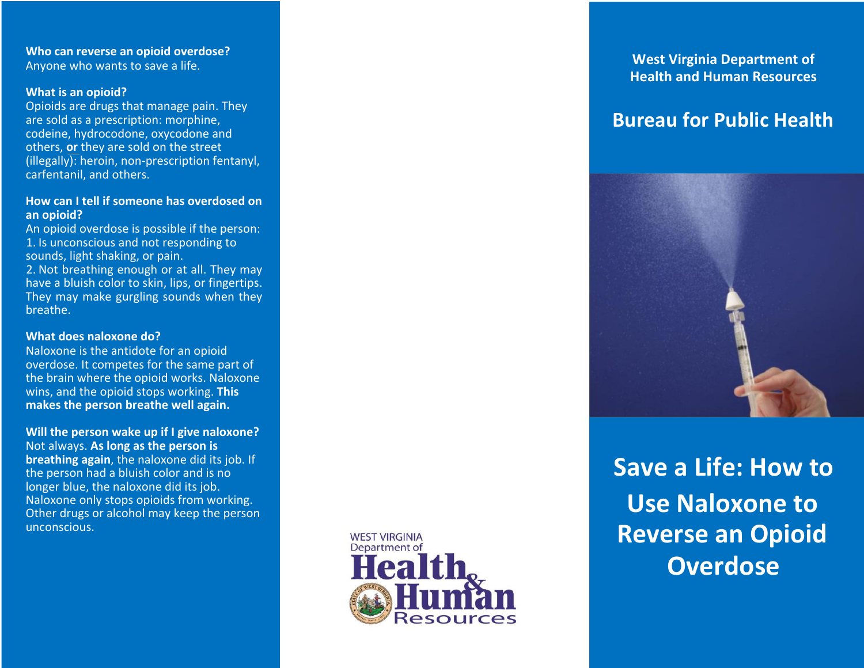**Who can reverse an opioid overdose?** Anyone who wants to save a life.

### **What is an opioid?**

Opioids are drugs that manage pain. They are sold as a prescription: morphine, codeine, hydrocodone, oxycodone and others, **or** they are sold on the street (illegally): heroin, non -prescription fentanyl, carfentanil, and others.

# **How can I tell if someone has overdosed on an opioid?**

An opioid overdose is possible if the person: 1. Is unconscious and not responding to sounds, light shaking, or pain. 2. Not breathing enough or at all. They may have a bluish color to skin, lips, or fingertips. They may make gurgling sounds when they breath e .

# **What does naloxone do?**

Naloxone is the antidote for an opioid overdose. It competes for the same part of the brain where the opioid works. Naloxone wins, and the opioid stops working. **This makes the person breath e well again.**

**Will the person wake up if I give naloxone?** Not always. **As long as the person is breathing again**, the naloxone did its job. If the person had a bluish color and is no longer blue, the naloxone did its job. Naloxone only stops opioids from working. Other drugs or alcohol may keep the person unconscious.



**West Virginia Department of Health and Human Resources**

# **Bureau for Public Health**



**Save a Life: How to Use Naloxone to Reverse an Opioid Overdose**